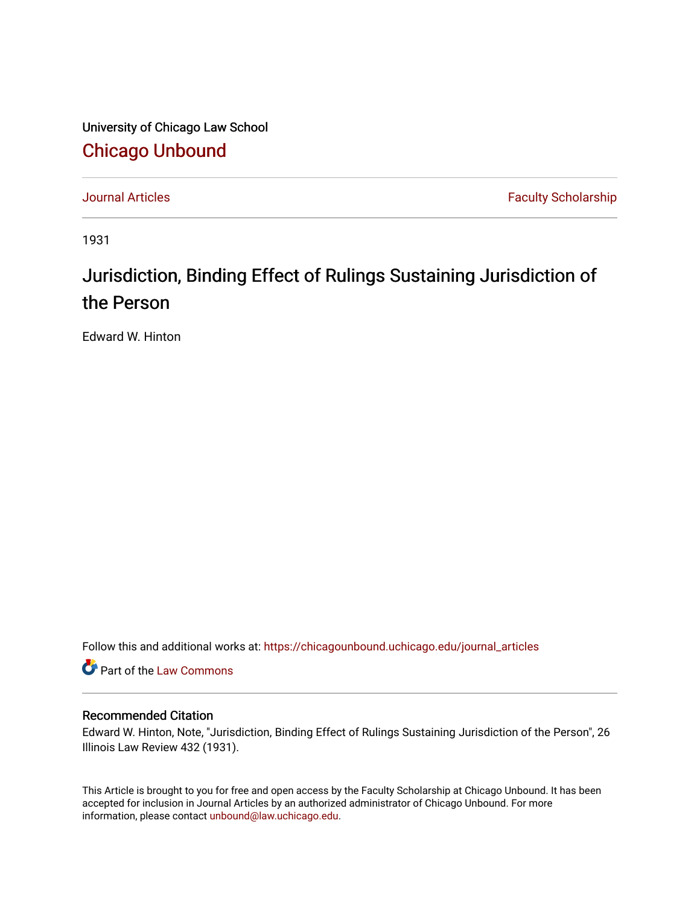University of Chicago Law School [Chicago Unbound](https://chicagounbound.uchicago.edu/)

[Journal Articles](https://chicagounbound.uchicago.edu/journal_articles) **Faculty Scholarship Faculty Scholarship** 

1931

## Jurisdiction, Binding Effect of Rulings Sustaining Jurisdiction of the Person

Edward W. Hinton

Follow this and additional works at: [https://chicagounbound.uchicago.edu/journal\\_articles](https://chicagounbound.uchicago.edu/journal_articles?utm_source=chicagounbound.uchicago.edu%2Fjournal_articles%2F9198&utm_medium=PDF&utm_campaign=PDFCoverPages) 

Part of the [Law Commons](http://network.bepress.com/hgg/discipline/578?utm_source=chicagounbound.uchicago.edu%2Fjournal_articles%2F9198&utm_medium=PDF&utm_campaign=PDFCoverPages)

## Recommended Citation

Edward W. Hinton, Note, "Jurisdiction, Binding Effect of Rulings Sustaining Jurisdiction of the Person", 26 Illinois Law Review 432 (1931).

This Article is brought to you for free and open access by the Faculty Scholarship at Chicago Unbound. It has been accepted for inclusion in Journal Articles by an authorized administrator of Chicago Unbound. For more information, please contact [unbound@law.uchicago.edu](mailto:unbound@law.uchicago.edu).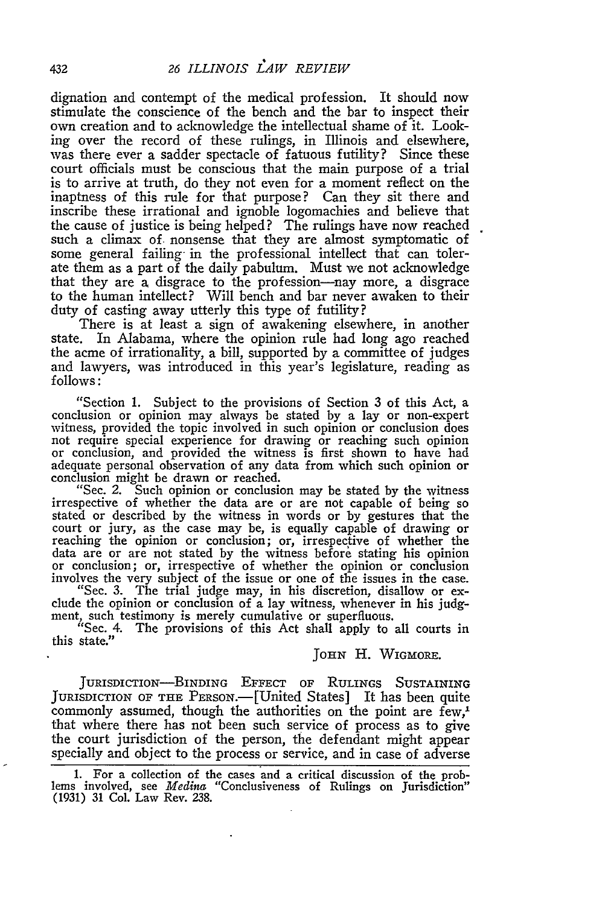dignation and contempt of the medical profession. It should now stimulate the conscience of the bench and the bar to inspect their own creation and to acknowledge the intellectual shame of it. Looking over the record of these rulings, in Illinois and elsewhere, was there ever a sadder spectacle of fatuous futility? Since these court officials must be conscious that the main purpose of a trial is to arrive at truth, do they not even for a moment reflect on the inaptness of this rule for that purpose? Can they sit there and inscribe these irrational and ignoble logomachies and believe that the cause of justice is being helped? The rulings have now reached such a climax of. nonsense that they are almost symptomatic of some general failing in the professional intellect that can tolerate them as a part of the daily pabulum. Must we not acknowledge that they are a disgrace to the profession--nay more, a disgrace to the human intellect? Will bench and bar never awaken to their duty of casting away utterly this type of futility?

There is at least a sign of awakening elsewhere, in another state. In Alabama, where the opinion rule had long ago reached the acme of irrationality, a bill, supported by a committee of judges and lawyers, was introduced in this year's legislature, reading as follows:

"Section 1. Subject to the provisions of Section 3 of this Act, a conclusion or opinion may always be stated by a lay or non-expert witness, provided the topic involved in such opinion or conclusion does not require special experience for drawing or reaching such opinion or conclusion, and provided the witness is first shown to have had adequate personal observation of any data from which such opinion or conclusion might be drawn or reached.

"Sec. 2. Such opinion or conclusion may be stated by the witness irrespective of whether the data are or are not capable of being so stated or described by the witness in words or by gestures that the court or jury, as the case may be, is equally capable of drawing or reaching the opinion or conclusion; or, irrespective of whether the data are or are not stated by the witness before stating his opinion or conclusion; or, irrespective of whether the opinion or conclusion involves the very subject of the issue or one of the issues in the case.

"Sec. 3. The trial judge may, in his discretion, disallow or exclude the opinion or conclusion of a lay witness, whenever in his judgment, such testimony is merely cumulative or superfluous.

"Sec. 4. The provisions of this Act shall apply to all courts in this state."

*JOHN* H. WIGMORE.

JURISDIcTIoN-BINDING **EFFECT** OF RULINGS SUSTAINING JURISDICTION OF THE PERSON.—[United States] It has been quite commonly assumed, though the authorities on the point are few,' that where there has not been such service of process as to give the court jurisdiction of the person, the defendant might appear specially and object to the process or service, and in case of adverse

**1.** For a collection of the cases and a critical discussion of the prob- lems involved, see *Medina* "Conclusiveness of Rulings on Jurisdiction" **(1931) 31** Col. Law Rev. 238.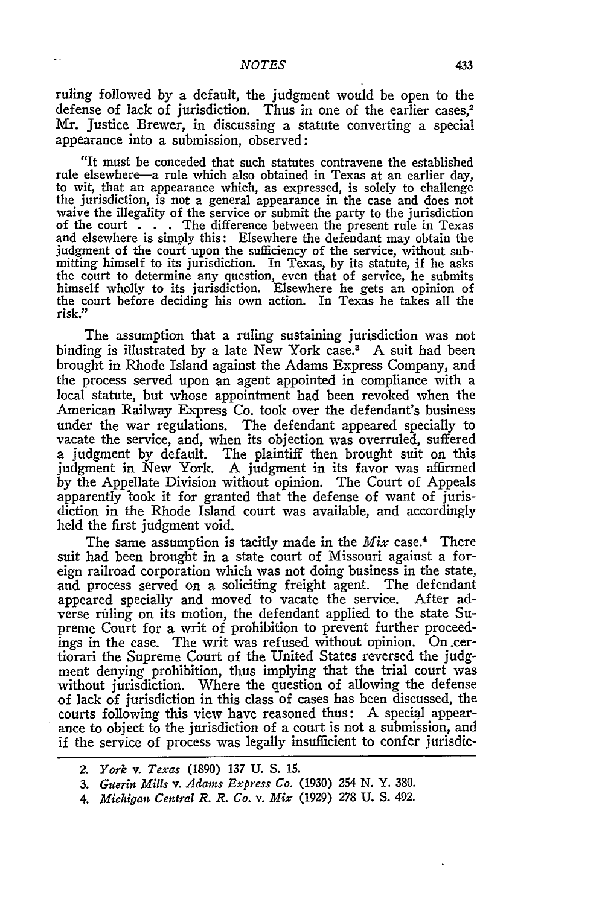ruling followed by a default, the judgment would be open to the defense of lack of jurisdiction. Thus in one of the earlier cases,<sup>2</sup> Mr. Justice Brewer, in discussing a statute converting a special appearance into a submission, observed:

"It must be conceded that such statutes contravene the established rule elsewhere-a rule which also obtained in Texas at an earlier day, to wit, that an appearance which, as expressed, is solely to challenge the jurisdiction, is not a general appearance in the case and does not waive the illegality of the service or submit the party to the jurisdiction of the court . . . The difference between the present rule in Texas and elsewhere is simply this: Elsewhere the defendant may obtain the judgment of the court upon the sufficiency of the service, without submitting himself to its jurisdiction. In Texas, **by** its statute, if he asks the court to determine any question, even that of service, he submits himself wholly to its jurisdiction. Elsewhere he gets an opinion of the court before deciding his own action. In Texas he takes all the risk."

The assumption that a ruling sustaining jurisdiction was not binding is illustrated by a late New York case.<sup>3</sup> A suit had been brought in Rhode Island against the Adams Express Company, and the process served upon an agent appointed in compliance with a local statute, but whose appointment had been revoked when the American Railway Express Co. took over the defendant's business under the war regulations. The defendant appeared specially to vacate the service, and, when its objection was overruled, suffered a judgment by default. The plaintiff then brought suit on this judgment in New York. **A** judgment in its favor was affirmed by the Appellate Division without opinion. The Court of Appeals apparently took it for granted that the defense of want of jurisdiction in the Rhode Island court was available, and accordingly held the first judgment void.

The same assumption is tacitly made in the *Mix* case.4 There suit had been brought in a state court of Missouri against a foreign railroad corporation which was not doing business in the state, and process served on a soliciting freight agent. The defendant appeared specially and moved to vacate the service. After adverse riling on its motion, the defendant applied to the state Supreme Court for a writ of prohibition to prevent further proceedings in the case. The writ was refused without opinion. On .certiorari the Supreme Court of the United States reversed the judgment denying prohibition, thus implying that the trial court was without jurisdiction. Where the question of allowing the defense of lack of jurisdiction in this class of cases has been discussed, the courts following this view have reasoned thus: A special appearance to object to the jurisdiction of a court is not a submission, and if the service of process was legally insufficient to confer jurisdic-

*4. Michigan Central R. R. Co. v. Mix* (1929) 278 U. S. 492.

*<sup>2.</sup> York v. Texas* (1890) 137 U. S. 15.

*<sup>3.</sup> Guerin Mills v. Adans Express Co.* (1930) 254 **N.** Y. 380.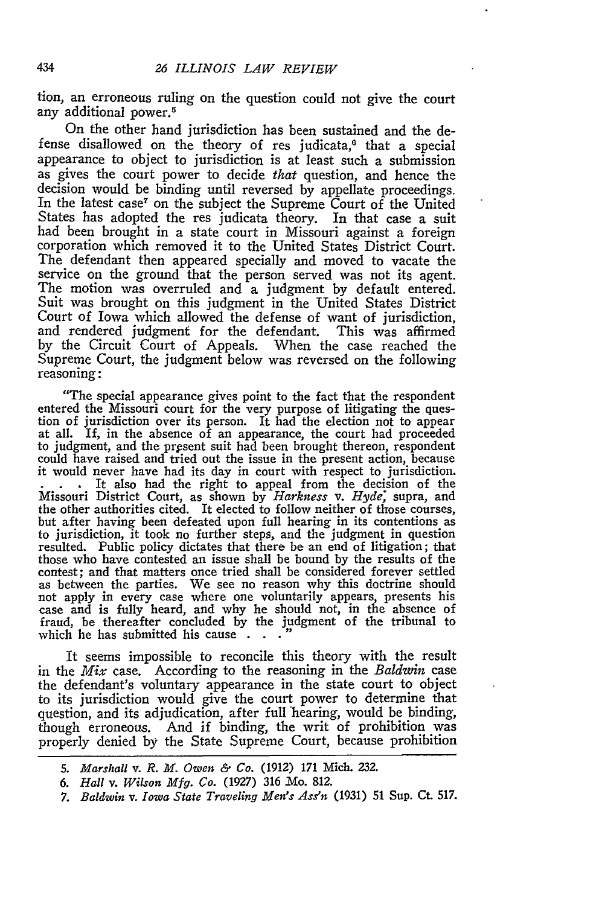tion, an erroneous ruling on the question could not give the court any additional power.<sup>5</sup>

On the other hand jurisdiction has been sustained and the defense disallowed on the theory of res judicata,<sup>6</sup> that a special appearance to object to jurisdiction is at least such a submission as gives the court power to decide that question, and hence the decision would be binding until reversed by appellate proceedings. In the latest case<sup>7</sup> on the subject the Supreme Court of the United States has adopted the res judicata theory. In that case a suit had been brought in a state court in Missouri against a foreign corporation which removed it to the United States District Court. The defendant then appeared specially and moved to vacate the service on the ground that the person served was not its agent. The motion was overruled and a judgment by default entered. Suit was brought on this judgment in the United States District Court of Iowa which allowed the defense of want of jurisdiction, and rendered judgment for the defendant. This was affirmed by the Circuit Court of Appeals. When the case reached the Supreme Court, the judgment below was reversed on the following reasoning:

"The special appearance gives point to the fact that the respondent entered the Missouri court for the very purpose of litigating the ques- tion of jurisdiction over its person. It had the election not to appear at all. **If,** in the absence of an appearance, the court had proceeded to judgment, and the present suit had been brought thereon, respondent could have raised and tried out the issue in the present action, because it would never have had its day in court with respect to jurisdiction. It also had the right to appeal from the decision of the Missouri District Court, as shown by *Harkness v. Hyde;* supra, and the other authorities cited. It elected to follow neither of those courses, but after having been defeated upon full hearing in its contentions as to jurisdiction, it took no further steps, and the judgment in question resulted. Public policy dictates that there be an end of litigation; that those who have contested an issue shall be bound by the results of the contest; and that matters once tried shall be considered forever settled as between the parties. We see no reason why this doctrine should not apply in every case where one voluntarily appears, presents his case and is fully heard, and why he should not, in the absence of fraud, be thereafter concluded by the judgment of the tribunal to which he has submitted his cause . . .

It seems impossible to reconcile this theory with the result in the *Mix* case. According to the reasoning in the *Baldwin* case the defendant's voluntary appearance in the state court to object to its jurisdiction would give the court power to determine that question, and its adjudication, after full hearing, would be binding, though erroneous. And if binding, the writ of prohibition was properly denied by the State Supreme Court, because prohibition

*<sup>5.</sup> Marshall v. R. M. Owen & Co.* (1912) **171** Mich. 232.

*<sup>6.</sup> Hall v. Wilson Mfg. Co.* (1927) 316 JMo. 812.

*<sup>7.</sup> Baldwin v. Iowa State Traveling Men's Ass'n* **(1931) 51** Sup. Ct. **517.**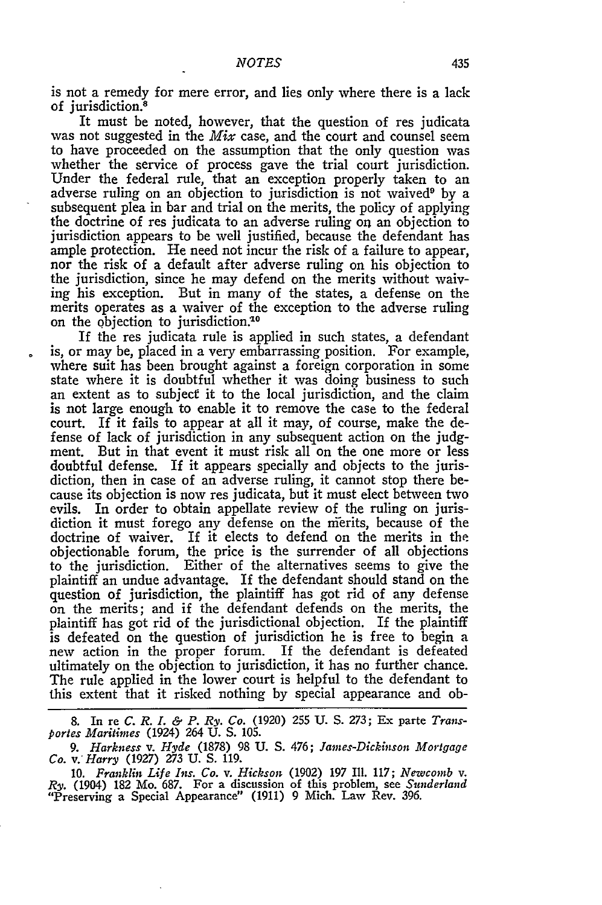is not a remedy for mere error, and lies only where there is a lack of jurisdiction.<sup>8</sup>

It must be noted, however, that the question of res judicata was not suggested in the *Mix* case, and the court and counsel seem to have proceeded on the assumption that the only question was whether the service of process gave the trial court jurisdiction. Under the federal rule, that an exception properly taken to an adverse ruling on an objection to jurisdiction is not waived<sup>9</sup> by a subsequent plea in bar and trial on the merits, the policy of applying the doctrine of res judicata to an adverse ruling *on* an objection to jurisdiction appears to be well justified, because the defendant has ample protection. He need not incur the risk of a failure to appear, nor the risk of a default after adverse ruling on his objection to the jurisdiction, since he may defend on the merits without waiving his exception. But in many of the states, a defense on the merits operates as a waiver of the exception to the adverse ruling on the objection to jurisdiction.<sup>10</sup>

If the res judicata rule is applied in such states, a defendant is, or may be, placed in a very embarrassing position. For example, where suit has been brought against a foreign corporation in some state where it is doubtful whether it was doing business to such an extent as to subject it to the local jurisdiction, and the claim is not large enough to enable it to remove the case to the federal court. If it fails to appear at all it may, of course, make the defense of lack of jurisdiction in any subsequent action on the judgment. But in that event it must risk all on the one more or less doubtful defense. If it appears specially and objects to the jurisdiction, then in case of an adverse ruling, it cannot stop there because its objection is now res judicata, but it must elect between two evils. In order to obtain appellate review of the ruling on jurisdiction it must forego any defense on the nierits, because of the doctrine of waiver. If it elects to defend on the merits in the objectionable forum, the price is the surrender of all objections to the jurisdiction. Either of the alternatives seems to give the plaintiff an undue advantage. If the defendant should stand on the question of jurisdiction, the plaintiff has got rid of any defense on the merits; and if the defendant defends on the merits, the plaintiff has got rid of the jurisdictional objection. If the plaintiff is defeated on the question of jurisdiction he is free to begin a new action in the proper forum. If the defendant is defeated ultimately on the objection to jurisdiction, it has no further chance. The rule applied in the lower court is helpful to the defendant to this extent that it risked nothing by special appearance and ob-

**8.** In re *C. R. I. & P. Ry. Co.* **(1920) 255 U. S. 273;** Ex **parte** *Transportes Maritimes* (1924) 264 U. S. 105.

*9. Harkness v. Hyde* **(1878) 98 U. S.** *476; James-Dickinson Mortgage Co. v. Harry* **(1927) 273 U. S. 119.**

10. *Franklin Life Ins. Co. v. Hickson* **(1902) 197** II1. **117;** *Newcomb v. Ry.* (1904) **182** Mo. 687. For a discussion of this problem, see *Sunderland* "Preserving a Special Appearance" **(1911) 9** Mich. Law Rev. **396.**